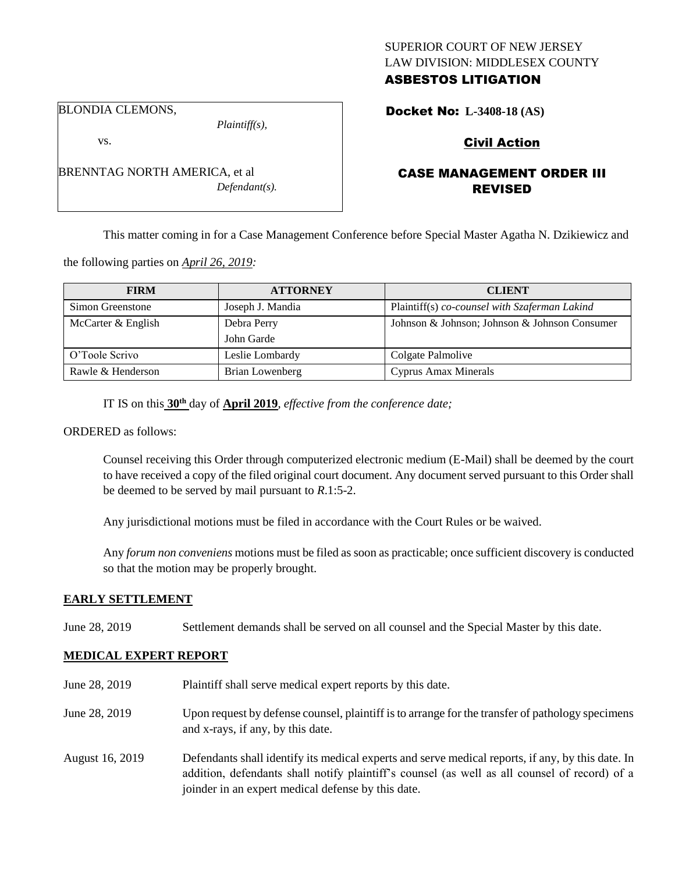### SUPERIOR COURT OF NEW JERSEY LAW DIVISION: MIDDLESEX COUNTY ASBESTOS LITIGATION

BLONDIA CLEMONS,

vs.

*Plaintiff(s),*

*Defendant(s).*

Docket No: **L-3408-18 (AS)** 

# Civil Action

# CASE MANAGEMENT ORDER III REVISED

This matter coming in for a Case Management Conference before Special Master Agatha N. Dzikiewicz and

the following parties on *April 26, 2019:*

BRENNTAG NORTH AMERICA, et al

| <b>FIRM</b>        | <b>ATTORNEY</b>  | <b>CLIENT</b>                                 |
|--------------------|------------------|-----------------------------------------------|
| Simon Greenstone   | Joseph J. Mandia | Plaintiff(s) co-counsel with Szaferman Lakind |
| McCarter & English | Debra Perry      | Johnson & Johnson; Johnson & Johnson Consumer |
|                    | John Garde       |                                               |
| O'Toole Scrivo     | Leslie Lombardy  | Colgate Palmolive                             |
| Rawle & Henderson  | Brian Lowenberg  | <b>Cyprus Amax Minerals</b>                   |

IT IS on this **30th** day of **April 2019**, *effective from the conference date;*

ORDERED as follows:

Counsel receiving this Order through computerized electronic medium (E-Mail) shall be deemed by the court to have received a copy of the filed original court document. Any document served pursuant to this Order shall be deemed to be served by mail pursuant to *R*.1:5-2.

Any jurisdictional motions must be filed in accordance with the Court Rules or be waived.

Any *forum non conveniens* motions must be filed as soon as practicable; once sufficient discovery is conducted so that the motion may be properly brought.

#### **EARLY SETTLEMENT**

June 28, 2019 Settlement demands shall be served on all counsel and the Special Master by this date.

# **MEDICAL EXPERT REPORT**

June 28, 2019 Plaintiff shall serve medical expert reports by this date. June 28, 2019 Upon request by defense counsel, plaintiff is to arrange for the transfer of pathology specimens and x-rays, if any, by this date. August 16, 2019 Defendants shall identify its medical experts and serve medical reports, if any, by this date. In addition, defendants shall notify plaintiff's counsel (as well as all counsel of record) of a joinder in an expert medical defense by this date.